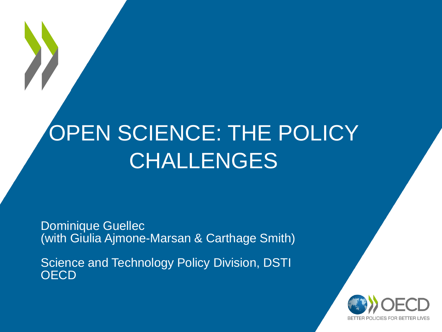# OPEN SCIENCE: THE POLICY CHALLENGES

Dominique Guellec (with Giulia Ajmone-Marsan & Carthage Smith)

Science and Technology Policy Division, DSTI **OECD** 

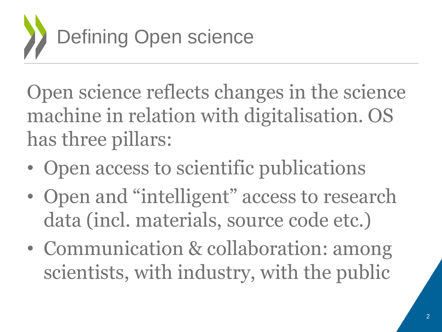

Open science reflects changes in the science machine in relation with digitalisation. OS has three pillars:

- Open access to scientific publications
- Open and "intelligent" access to research data (incl. materials, source code etc.)
- Communication & collaboration: among scientists, with industry, with the public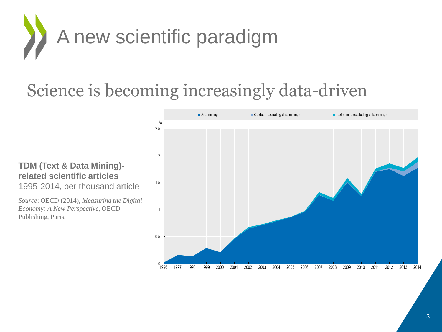

### Science is becoming increasingly data-driven

#### **TDM (Text & Data Mining) related scientific articles** 1995-2014, per thousand article

*Source*: OECD (2014), *Measuring the Digital Economy: A New Perspective,* OECD Publishing, Paris.

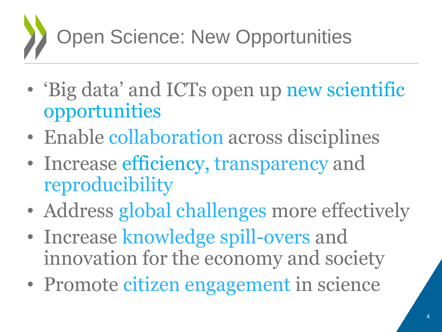

- 'Big data' and ICTs open up new scientific opportunities
- Enable collaboration across disciplines
- Increase efficiency, transparency and reproducibility
- Address global challenges more effectively
- Increase knowledge spill-overs and innovation for the economy and society
- Promote citizen engagement in science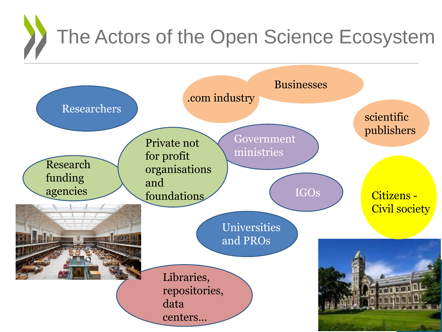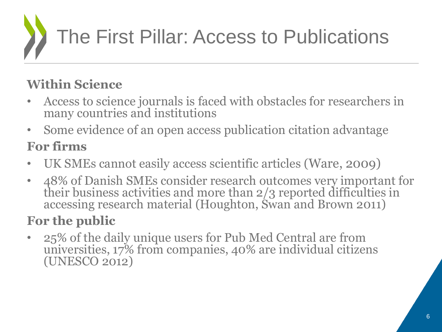# The First Pillar: Access to Publications

#### **Within Science**

- Access to science journals is faced with obstacles for researchers in many countries and institutions
- Some evidence of an open access publication citation advantage

#### **For firms**

- UK SMEs cannot easily access scientific articles (Ware, 2009)
- 48% of Danish SMEs consider research outcomes very important for their business activities and more than 2/3 reported difficulties in accessing research material (Houghton, Swan and Brown 2011)

#### **For the public**

• 25% of the daily unique users for Pub Med Central are from universities, 17% from companies, 40% are individual citizens (UNESCO 2012)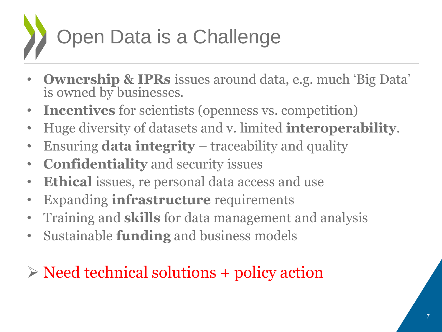

- **Ownership & IPRs** issues around data, e.g. much 'Big Data' is owned by businesses.
- **Incentives** for scientists (openness vs. competition)
- Huge diversity of datasets and v. limited **interoperability**.
- Ensuring **data integrity**  traceability and quality
- **Confidentiality** and security issues
- **Ethical** issues, re personal data access and use
- Expanding **infrastructure** requirements
- Training and **skills** for data management and analysis
- Sustainable **funding** and business models

### $\triangleright$  Need technical solutions + policy action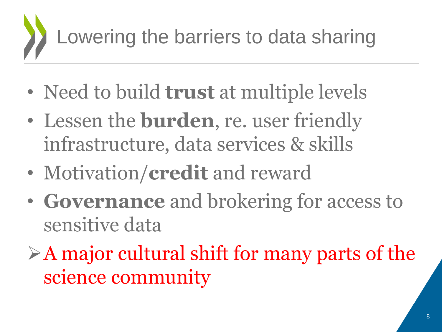# Lowering the barriers to data sharing

- Need to build **trust** at multiple levels
- Lessen the **burden**, re. user friendly infrastructure, data services & skills
- Motivation/**credit** and reward
- **Governance** and brokering for access to sensitive data
- $\triangleright$  A major cultural shift for many parts of the science community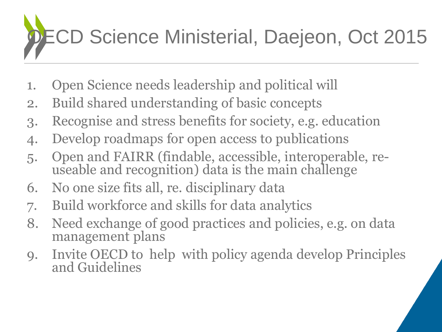# CD Science Ministerial, Daejeon, Oct 2015

- 1. Open Science needs leadership and political will
- 2. Build shared understanding of basic concepts
- 3. Recognise and stress benefits for society, e.g. education
- 4. Develop roadmaps for open access to publications
- 5. Open and FAIRR (findable, accessible, interoperable, reuseable and recognition) data is the main challenge
- 6. No one size fits all, re. disciplinary data
- 7. Build workforce and skills for data analytics
- 8. Need exchange of good practices and policies, e.g. on data management plans
- 9. Invite OECD to help with policy agenda develop Principles and Guidelines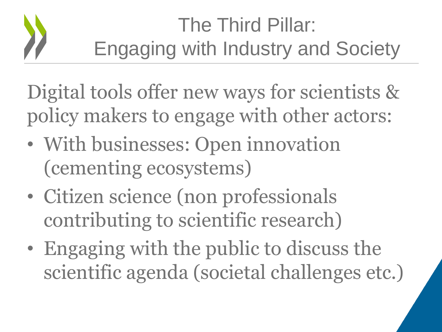## The Third Pillar: Engaging with Industry and Society

Digital tools offer new ways for scientists & policy makers to engage with other actors:

- With businesses: Open innovation (cementing ecosystems)
- Citizen science (non professionals contributing to scientific research)
- Engaging with the public to discuss the scientific agenda (societal challenges etc.)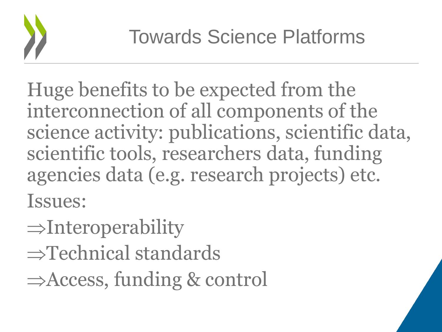

Huge benefits to be expected from the interconnection of all components of the science activity: publications, scientific data, scientific tools, researchers data, funding agencies data (e.g. research projects) etc. Issues:

- $\Rightarrow$ Interoperability
- $\Rightarrow$ Technical standards
- $\Rightarrow$  Access, funding & control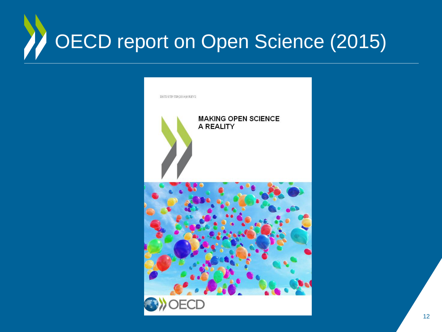### OECD report on Open Science (2015) Z

| DSTI/STP/TIP(2014)9/REV2                |
|-----------------------------------------|
| <b>MAKING OPEN SCIENCE</b><br>A REALITY |
|                                         |
| <b>ECD</b>                              |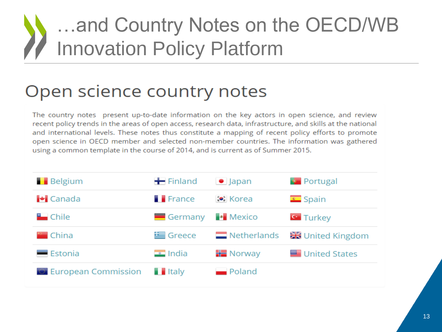### …and Country Notes on the OECD/WB Innovation Policy Platform

### Open science country notes

The country notes present up-to-date information on the key actors in open science, and review recent policy trends in the areas of open access, research data, infrastructure, and skills at the national and international levels. These notes thus constitute a mapping of recent policy efforts to promote open science in OECD member and selected non-member countries. The information was gathered using a common template in the course of 2014, and is current as of Summer 2015.